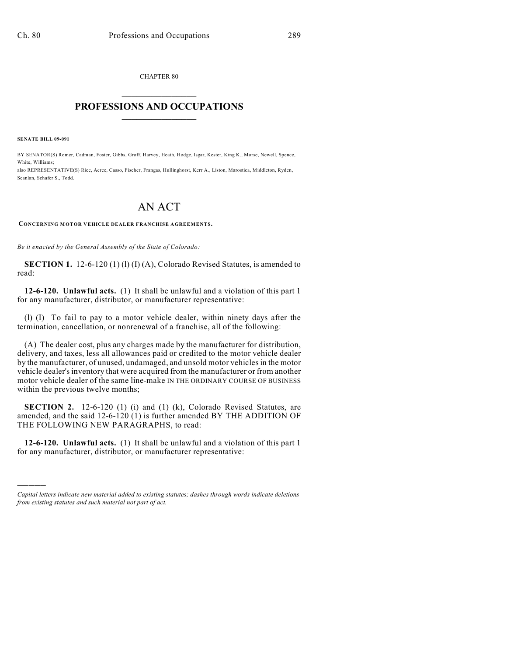CHAPTER 80  $\mathcal{L}_\text{max}$  . The set of the set of the set of the set of the set of the set of the set of the set of the set of the set of the set of the set of the set of the set of the set of the set of the set of the set of the set

## **PROFESSIONS AND OCCUPATIONS**  $\frac{1}{2}$  ,  $\frac{1}{2}$  ,  $\frac{1}{2}$  ,  $\frac{1}{2}$  ,  $\frac{1}{2}$  ,  $\frac{1}{2}$

**SENATE BILL 09-091**

)))))

BY SENATOR(S) Romer, Cadman, Foster, Gibbs, Groff, Harvey, Heath, Hodge, Isgar, Kester, King K., Morse, Newell, Spence, White, Williams; also REPRESENTATIVE(S) Rice, Acree, Casso, Fischer, Frangas, Hullinghorst, Kerr A., Liston, Marostica, Middleton, Ryden, Scanlan, Schafer S., Todd.

## AN ACT

## **CONCERNING MOTOR VEHICLE DEALER FRANCHISE AGREEMENTS.**

*Be it enacted by the General Assembly of the State of Colorado:*

**SECTION 1.** 12-6-120 (1) (1) (I) (A), Colorado Revised Statutes, is amended to read:

**12-6-120. Unlawful acts.** (1) It shall be unlawful and a violation of this part 1 for any manufacturer, distributor, or manufacturer representative:

(l) (I) To fail to pay to a motor vehicle dealer, within ninety days after the termination, cancellation, or nonrenewal of a franchise, all of the following:

(A) The dealer cost, plus any charges made by the manufacturer for distribution, delivery, and taxes, less all allowances paid or credited to the motor vehicle dealer by the manufacturer, of unused, undamaged, and unsold motor vehicles in the motor vehicle dealer's inventory that were acquired from the manufacturer or from another motor vehicle dealer of the same line-make IN THE ORDINARY COURSE OF BUSINESS within the previous twelve months;

**SECTION 2.** 12-6-120 (1) (i) and (1) (k), Colorado Revised Statutes, are amended, and the said 12-6-120 (1) is further amended BY THE ADDITION OF THE FOLLOWING NEW PARAGRAPHS, to read:

**12-6-120. Unlawful acts.** (1) It shall be unlawful and a violation of this part 1 for any manufacturer, distributor, or manufacturer representative:

*Capital letters indicate new material added to existing statutes; dashes through words indicate deletions from existing statutes and such material not part of act.*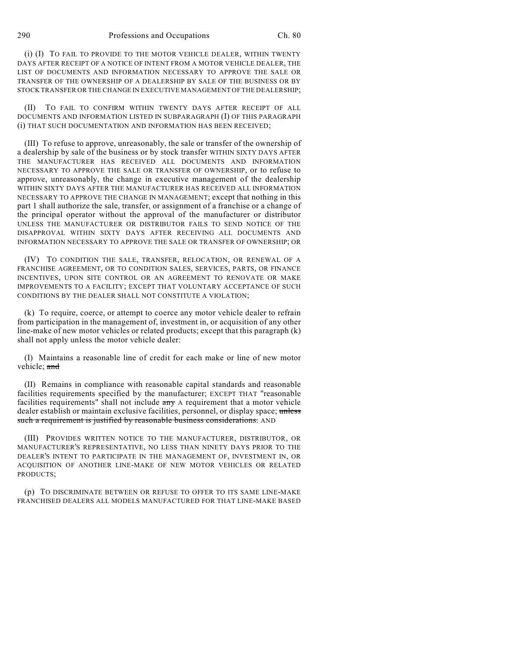(i) (I) TO FAIL TO PROVIDE TO THE MOTOR VEHICLE DEALER, WITHIN TWENTY DAYS AFTER RECEIPT OF A NOTICE OF INTENT FROM A MOTOR VEHICLE DEALER, THE LIST OF DOCUMENTS AND INFORMATION NECESSARY TO APPROVE THE SALE OR TRANSFER OF THE OWNERSHIP OF A DEALERSHIP BY SALE OF THE BUSINESS OR BY STOCK TRANSFER OR THE CHANGE IN EXECUTIVE MANAGEMENT OF THE DEALERSHIP;

(II) TO FAIL TO CONFIRM WITHIN TWENTY DAYS AFTER RECEIPT OF ALL DOCUMENTS AND INFORMATION LISTED IN SUBPARAGRAPH (I) OF THIS PARAGRAPH (i) THAT SUCH DOCUMENTATION AND INFORMATION HAS BEEN RECEIVED;

(III) To refuse to approve, unreasonably, the sale or transfer of the ownership of a dealership by sale of the business or by stock transfer WITHIN SIXTY DAYS AFTER THE MANUFACTURER HAS RECEIVED ALL DOCUMENTS AND INFORMATION NECESSARY TO APPROVE THE SALE OR TRANSFER OF OWNERSHIP, or to refuse to approve, unreasonably, the change in executive management of the dealership WITHIN SIXTY DAYS AFTER THE MANUFACTURER HAS RECEIVED ALL INFORMATION NECESSARY TO APPROVE THE CHANGE IN MANAGEMENT; except that nothing in this part 1 shall authorize the sale, transfer, or assignment of a franchise or a change of the principal operator without the approval of the manufacturer or distributor UNLESS THE MANUFACTURER OR DISTRIBUTOR FAILS TO SEND NOTICE OF THE DISAPPROVAL WITHIN SIXTY DAYS AFTER RECEIVING ALL DOCUMENTS AND INFORMATION NECESSARY TO APPROVE THE SALE OR TRANSFER OF OWNERSHIP; OR

(IV) TO CONDITION THE SALE, TRANSFER, RELOCATION, OR RENEWAL OF A FRANCHISE AGREEMENT, OR TO CONDITION SALES, SERVICES, PARTS, OR FINANCE INCENTIVES, UPON SITE CONTROL OR AN AGREEMENT TO RENOVATE OR MAKE IMPROVEMENTS TO A FACILITY; EXCEPT THAT VOLUNTARY ACCEPTANCE OF SUCH CONDITIONS BY THE DEALER SHALL NOT CONSTITUTE A VIOLATION;

(k) To require, coerce, or attempt to coerce any motor vehicle dealer to refrain from participation in the management of, investment in, or acquisition of any other line-make of new motor vehicles or related products; except that this paragraph (k) shall not apply unless the motor vehicle dealer:

(I) Maintains a reasonable line of credit for each make or line of new motor vehicle: and

(II) Remains in compliance with reasonable capital standards and reasonable facilities requirements specified by the manufacturer; EXCEPT THAT "reasonable facilities requirements" shall not include any A requirement that a motor vehicle dealer establish or maintain exclusive facilities, personnel, or display space; unless such a requirement is justified by reasonable business considerations. AND

(III) PROVIDES WRITTEN NOTICE TO THE MANUFACTURER, DISTRIBUTOR, OR MANUFACTURER'S REPRESENTATIVE, NO LESS THAN NINETY DAYS PRIOR TO THE DEALER'S INTENT TO PARTICIPATE IN THE MANAGEMENT OF, INVESTMENT IN, OR ACQUISITION OF ANOTHER LINE-MAKE OF NEW MOTOR VEHICLES OR RELATED PRODUCTS;

(p) TO DISCRIMINATE BETWEEN OR REFUSE TO OFFER TO ITS SAME LINE-MAKE FRANCHISED DEALERS ALL MODELS MANUFACTURED FOR THAT LINE-MAKE BASED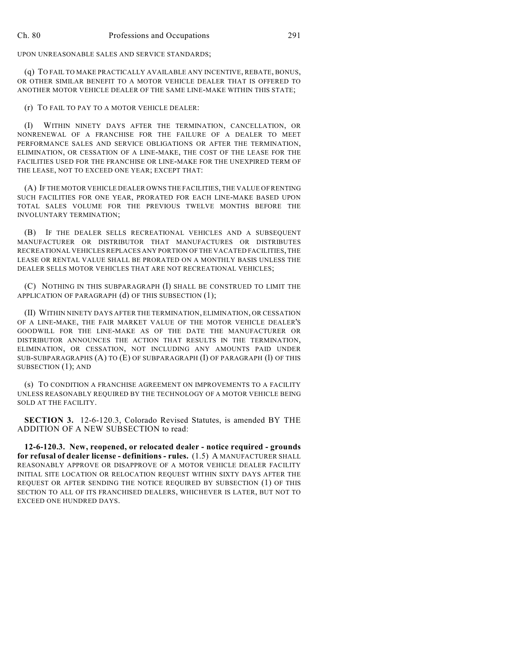UPON UNREASONABLE SALES AND SERVICE STANDARDS;

(q) TO FAIL TO MAKE PRACTICALLY AVAILABLE ANY INCENTIVE, REBATE, BONUS, OR OTHER SIMILAR BENEFIT TO A MOTOR VEHICLE DEALER THAT IS OFFERED TO ANOTHER MOTOR VEHICLE DEALER OF THE SAME LINE-MAKE WITHIN THIS STATE;

(r) TO FAIL TO PAY TO A MOTOR VEHICLE DEALER:

(I) WITHIN NINETY DAYS AFTER THE TERMINATION, CANCELLATION, OR NONRENEWAL OF A FRANCHISE FOR THE FAILURE OF A DEALER TO MEET PERFORMANCE SALES AND SERVICE OBLIGATIONS OR AFTER THE TERMINATION, ELIMINATION, OR CESSATION OF A LINE-MAKE, THE COST OF THE LEASE FOR THE FACILITIES USED FOR THE FRANCHISE OR LINE-MAKE FOR THE UNEXPIRED TERM OF THE LEASE, NOT TO EXCEED ONE YEAR; EXCEPT THAT:

(A) IF THE MOTOR VEHICLE DEALER OWNS THE FACILITIES, THE VALUE OF RENTING SUCH FACILITIES FOR ONE YEAR, PRORATED FOR EACH LINE-MAKE BASED UPON TOTAL SALES VOLUME FOR THE PREVIOUS TWELVE MONTHS BEFORE THE INVOLUNTARY TERMINATION;

(B) IF THE DEALER SELLS RECREATIONAL VEHICLES AND A SUBSEQUENT MANUFACTURER OR DISTRIBUTOR THAT MANUFACTURES OR DISTRIBUTES RECREATIONAL VEHICLES REPLACES ANY PORTION OF THE VACATED FACILITIES, THE LEASE OR RENTAL VALUE SHALL BE PRORATED ON A MONTHLY BASIS UNLESS THE DEALER SELLS MOTOR VEHICLES THAT ARE NOT RECREATIONAL VEHICLES;

(C) NOTHING IN THIS SUBPARAGRAPH (I) SHALL BE CONSTRUED TO LIMIT THE APPLICATION OF PARAGRAPH (d) OF THIS SUBSECTION (1);

(II) WITHIN NINETY DAYS AFTER THE TERMINATION, ELIMINATION, OR CESSATION OF A LINE-MAKE, THE FAIR MARKET VALUE OF THE MOTOR VEHICLE DEALER'S GOODWILL FOR THE LINE-MAKE AS OF THE DATE THE MANUFACTURER OR DISTRIBUTOR ANNOUNCES THE ACTION THAT RESULTS IN THE TERMINATION, ELIMINATION, OR CESSATION, NOT INCLUDING ANY AMOUNTS PAID UNDER SUB-SUBPARAGRAPHS (A) TO (E) OF SUBPARAGRAPH (I) OF PARAGRAPH (l) OF THIS SUBSECTION (1); AND

(s) TO CONDITION A FRANCHISE AGREEMENT ON IMPROVEMENTS TO A FACILITY UNLESS REASONABLY REQUIRED BY THE TECHNOLOGY OF A MOTOR VEHICLE BEING SOLD AT THE FACILITY.

**SECTION 3.** 12-6-120.3, Colorado Revised Statutes, is amended BY THE ADDITION OF A NEW SUBSECTION to read:

**12-6-120.3. New, reopened, or relocated dealer - notice required - grounds for refusal of dealer license - definitions - rules.** (1.5) A MANUFACTURER SHALL REASONABLY APPROVE OR DISAPPROVE OF A MOTOR VEHICLE DEALER FACILITY INITIAL SITE LOCATION OR RELOCATION REQUEST WITHIN SIXTY DAYS AFTER THE REQUEST OR AFTER SENDING THE NOTICE REQUIRED BY SUBSECTION (1) OF THIS SECTION TO ALL OF ITS FRANCHISED DEALERS, WHICHEVER IS LATER, BUT NOT TO EXCEED ONE HUNDRED DAYS.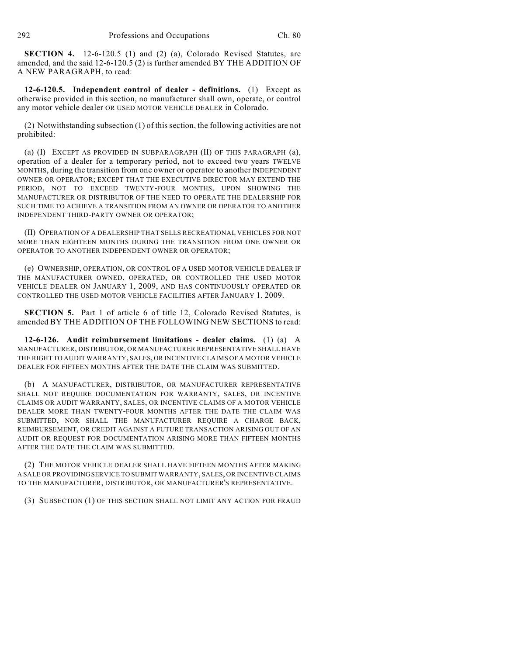**SECTION 4.** 12-6-120.5 (1) and (2) (a), Colorado Revised Statutes, are amended, and the said 12-6-120.5 (2) is further amended BY THE ADDITION OF A NEW PARAGRAPH, to read:

**12-6-120.5. Independent control of dealer - definitions.** (1) Except as otherwise provided in this section, no manufacturer shall own, operate, or control any motor vehicle dealer OR USED MOTOR VEHICLE DEALER in Colorado.

(2) Notwithstanding subsection (1) of this section, the following activities are not prohibited:

(a) (I) EXCEPT AS PROVIDED IN SUBPARAGRAPH (II) OF THIS PARAGRAPH (a), operation of a dealer for a temporary period, not to exceed two years TWELVE MONTHS, during the transition from one owner or operator to another INDEPENDENT OWNER OR OPERATOR; EXCEPT THAT THE EXECUTIVE DIRECTOR MAY EXTEND THE PERIOD, NOT TO EXCEED TWENTY-FOUR MONTHS, UPON SHOWING THE MANUFACTURER OR DISTRIBUTOR OF THE NEED TO OPERATE THE DEALERSHIP FOR SUCH TIME TO ACHIEVE A TRANSITION FROM AN OWNER OR OPERATOR TO ANOTHER INDEPENDENT THIRD-PARTY OWNER OR OPERATOR;

(II) OPERATION OF A DEALERSHIP THAT SELLS RECREATIONAL VEHICLES FOR NOT MORE THAN EIGHTEEN MONTHS DURING THE TRANSITION FROM ONE OWNER OR OPERATOR TO ANOTHER INDEPENDENT OWNER OR OPERATOR;

(e) OWNERSHIP, OPERATION, OR CONTROL OF A USED MOTOR VEHICLE DEALER IF THE MANUFACTURER OWNED, OPERATED, OR CONTROLLED THE USED MOTOR VEHICLE DEALER ON JANUARY 1, 2009, AND HAS CONTINUOUSLY OPERATED OR CONTROLLED THE USED MOTOR VEHICLE FACILITIES AFTER JANUARY 1, 2009.

**SECTION 5.** Part 1 of article 6 of title 12, Colorado Revised Statutes, is amended BY THE ADDITION OF THE FOLLOWING NEW SECTIONS to read:

**12-6-126. Audit reimbursement limitations - dealer claims.** (1) (a) A MANUFACTURER, DISTRIBUTOR, OR MANUFACTURER REPRESENTATIVE SHALL HAVE THE RIGHT TO AUDIT WARRANTY, SALES, OR INCENTIVE CLAIMS OF A MOTOR VEHICLE DEALER FOR FIFTEEN MONTHS AFTER THE DATE THE CLAIM WAS SUBMITTED.

(b) A MANUFACTURER, DISTRIBUTOR, OR MANUFACTURER REPRESENTATIVE SHALL NOT REQUIRE DOCUMENTATION FOR WARRANTY, SALES, OR INCENTIVE CLAIMS OR AUDIT WARRANTY, SALES, OR INCENTIVE CLAIMS OF A MOTOR VEHICLE DEALER MORE THAN TWENTY-FOUR MONTHS AFTER THE DATE THE CLAIM WAS SUBMITTED, NOR SHALL THE MANUFACTURER REQUIRE A CHARGE BACK, REIMBURSEMENT, OR CREDIT AGAINST A FUTURE TRANSACTION ARISING OUT OF AN AUDIT OR REQUEST FOR DOCUMENTATION ARISING MORE THAN FIFTEEN MONTHS AFTER THE DATE THE CLAIM WAS SUBMITTED.

(2) THE MOTOR VEHICLE DEALER SHALL HAVE FIFTEEN MONTHS AFTER MAKING A SALE OR PROVIDING SERVICE TO SUBMIT WARRANTY, SALES, OR INCENTIVE CLAIMS TO THE MANUFACTURER, DISTRIBUTOR, OR MANUFACTURER'S REPRESENTATIVE.

(3) SUBSECTION (1) OF THIS SECTION SHALL NOT LIMIT ANY ACTION FOR FRAUD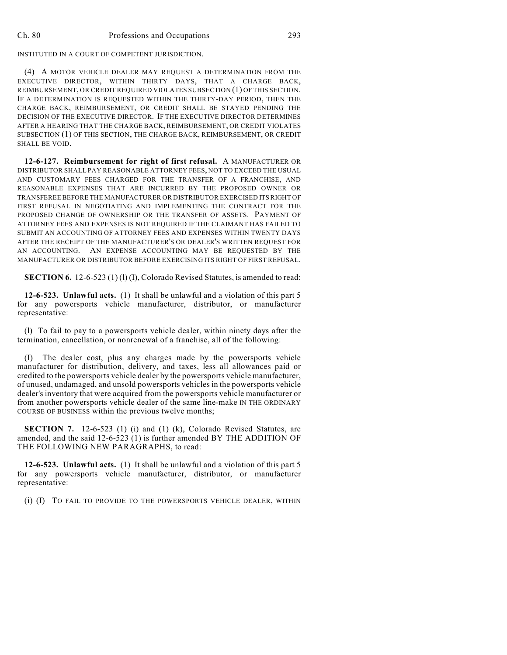INSTITUTED IN A COURT OF COMPETENT JURISDICTION.

(4) A MOTOR VEHICLE DEALER MAY REQUEST A DETERMINATION FROM THE EXECUTIVE DIRECTOR, WITHIN THIRTY DAYS, THAT A CHARGE BACK, REIMBURSEMENT, OR CREDIT REQUIRED VIOLATES SUBSECTION (1) OFTHIS SECTION. IF A DETERMINATION IS REQUESTED WITHIN THE THIRTY-DAY PERIOD, THEN THE CHARGE BACK, REIMBURSEMENT, OR CREDIT SHALL BE STAYED PENDING THE DECISION OF THE EXECUTIVE DIRECTOR. IF THE EXECUTIVE DIRECTOR DETERMINES AFTER A HEARING THAT THE CHARGE BACK, REIMBURSEMENT, OR CREDIT VIOLATES SUBSECTION (1) OF THIS SECTION, THE CHARGE BACK, REIMBURSEMENT, OR CREDIT SHALL BE VOID.

**12-6-127. Reimbursement for right of first refusal.** A MANUFACTURER OR DISTRIBUTOR SHALL PAY REASONABLE ATTORNEY FEES, NOT TO EXCEED THE USUAL AND CUSTOMARY FEES CHARGED FOR THE TRANSFER OF A FRANCHISE, AND REASONABLE EXPENSES THAT ARE INCURRED BY THE PROPOSED OWNER OR TRANSFEREE BEFORE THE MANUFACTURER OR DISTRIBUTOR EXERCISED ITS RIGHT OF FIRST REFUSAL IN NEGOTIATING AND IMPLEMENTING THE CONTRACT FOR THE PROPOSED CHANGE OF OWNERSHIP OR THE TRANSFER OF ASSETS. PAYMENT OF ATTORNEY FEES AND EXPENSES IS NOT REQUIRED IF THE CLAIMANT HAS FAILED TO SUBMIT AN ACCOUNTING OF ATTORNEY FEES AND EXPENSES WITHIN TWENTY DAYS AFTER THE RECEIPT OF THE MANUFACTURER'S OR DEALER'S WRITTEN REQUEST FOR AN ACCOUNTING. AN EXPENSE ACCOUNTING MAY BE REQUESTED BY THE MANUFACTURER OR DISTRIBUTOR BEFORE EXERCISING ITS RIGHT OF FIRST REFUSAL.

**SECTION 6.** 12-6-523 (1) (1) (I), Colorado Revised Statutes, is amended to read:

**12-6-523. Unlawful acts.** (1) It shall be unlawful and a violation of this part 5 for any powersports vehicle manufacturer, distributor, or manufacturer representative:

(l) To fail to pay to a powersports vehicle dealer, within ninety days after the termination, cancellation, or nonrenewal of a franchise, all of the following:

(I) The dealer cost, plus any charges made by the powersports vehicle manufacturer for distribution, delivery, and taxes, less all allowances paid or credited to the powersports vehicle dealer by the powersports vehicle manufacturer, of unused, undamaged, and unsold powersports vehicles in the powersports vehicle dealer's inventory that were acquired from the powersports vehicle manufacturer or from another powersports vehicle dealer of the same line-make IN THE ORDINARY COURSE OF BUSINESS within the previous twelve months;

**SECTION 7.** 12-6-523 (1) (i) and (1) (k), Colorado Revised Statutes, are amended, and the said 12-6-523 (1) is further amended BY THE ADDITION OF THE FOLLOWING NEW PARAGRAPHS, to read:

**12-6-523. Unlawful acts.** (1) It shall be unlawful and a violation of this part 5 for any powersports vehicle manufacturer, distributor, or manufacturer representative:

(i) (I) TO FAIL TO PROVIDE TO THE POWERSPORTS VEHICLE DEALER, WITHIN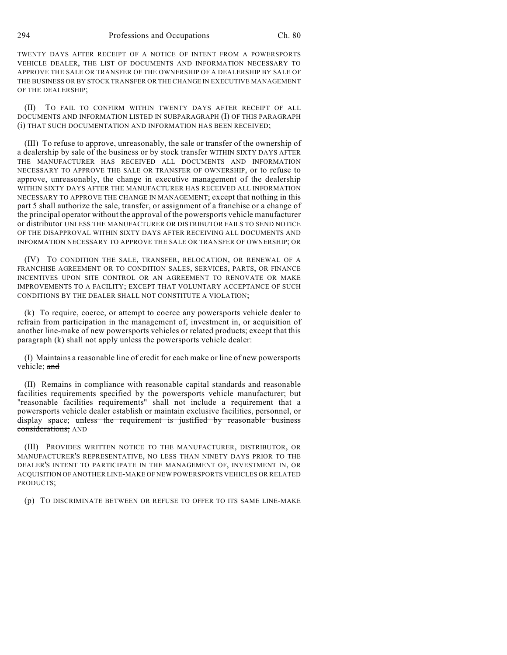TWENTY DAYS AFTER RECEIPT OF A NOTICE OF INTENT FROM A POWERSPORTS VEHICLE DEALER, THE LIST OF DOCUMENTS AND INFORMATION NECESSARY TO APPROVE THE SALE OR TRANSFER OF THE OWNERSHIP OF A DEALERSHIP BY SALE OF THE BUSINESS OR BY STOCK TRANSFER OR THE CHANGE IN EXECUTIVE MANAGEMENT OF THE DEALERSHIP;

(II) TO FAIL TO CONFIRM WITHIN TWENTY DAYS AFTER RECEIPT OF ALL DOCUMENTS AND INFORMATION LISTED IN SUBPARAGRAPH (I) OF THIS PARAGRAPH (i) THAT SUCH DOCUMENTATION AND INFORMATION HAS BEEN RECEIVED;

(III) To refuse to approve, unreasonably, the sale or transfer of the ownership of a dealership by sale of the business or by stock transfer WITHIN SIXTY DAYS AFTER THE MANUFACTURER HAS RECEIVED ALL DOCUMENTS AND INFORMATION NECESSARY TO APPROVE THE SALE OR TRANSFER OF OWNERSHIP, or to refuse to approve, unreasonably, the change in executive management of the dealership WITHIN SIXTY DAYS AFTER THE MANUFACTURER HAS RECEIVED ALL INFORMATION NECESSARY TO APPROVE THE CHANGE IN MANAGEMENT; except that nothing in this part 5 shall authorize the sale, transfer, or assignment of a franchise or a change of the principal operator without the approval of the powersports vehicle manufacturer or distributor UNLESS THE MANUFACTURER OR DISTRIBUTOR FAILS TO SEND NOTICE OF THE DISAPPROVAL WITHIN SIXTY DAYS AFTER RECEIVING ALL DOCUMENTS AND INFORMATION NECESSARY TO APPROVE THE SALE OR TRANSFER OF OWNERSHIP; OR

(IV) TO CONDITION THE SALE, TRANSFER, RELOCATION, OR RENEWAL OF A FRANCHISE AGREEMENT OR TO CONDITION SALES, SERVICES, PARTS, OR FINANCE INCENTIVES UPON SITE CONTROL OR AN AGREEMENT TO RENOVATE OR MAKE IMPROVEMENTS TO A FACILITY; EXCEPT THAT VOLUNTARY ACCEPTANCE OF SUCH CONDITIONS BY THE DEALER SHALL NOT CONSTITUTE A VIOLATION;

(k) To require, coerce, or attempt to coerce any powersports vehicle dealer to refrain from participation in the management of, investment in, or acquisition of another line-make of new powersports vehicles or related products; except that this paragraph (k) shall not apply unless the powersports vehicle dealer:

(I) Maintains a reasonable line of credit for each make or line of new powersports vehicle: and

(II) Remains in compliance with reasonable capital standards and reasonable facilities requirements specified by the powersports vehicle manufacturer; but "reasonable facilities requirements" shall not include a requirement that a powersports vehicle dealer establish or maintain exclusive facilities, personnel, or display space; unless the requirement is justified by reasonable business considerations; AND

(III) PROVIDES WRITTEN NOTICE TO THE MANUFACTURER, DISTRIBUTOR, OR MANUFACTURER'S REPRESENTATIVE, NO LESS THAN NINETY DAYS PRIOR TO THE DEALER'S INTENT TO PARTICIPATE IN THE MANAGEMENT OF, INVESTMENT IN, OR ACQUISITION OF ANOTHER LINE-MAKE OF NEW POWERSPORTS VEHICLES OR RELATED PRODUCTS;

(p) TO DISCRIMINATE BETWEEN OR REFUSE TO OFFER TO ITS SAME LINE-MAKE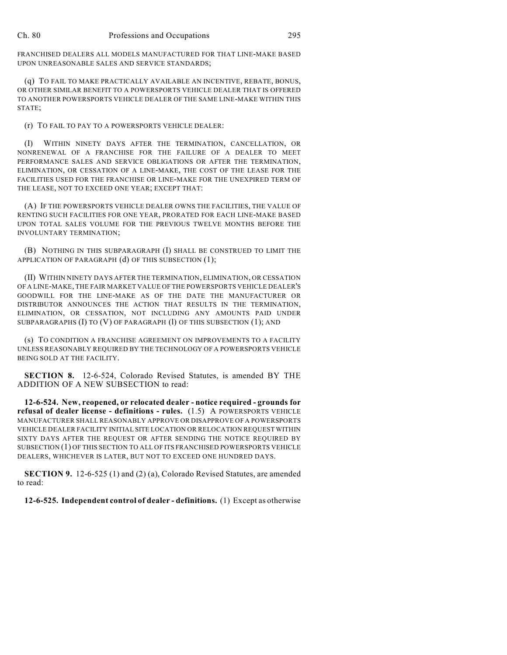FRANCHISED DEALERS ALL MODELS MANUFACTURED FOR THAT LINE-MAKE BASED UPON UNREASONABLE SALES AND SERVICE STANDARDS;

(q) TO FAIL TO MAKE PRACTICALLY AVAILABLE AN INCENTIVE, REBATE, BONUS, OR OTHER SIMILAR BENEFIT TO A POWERSPORTS VEHICLE DEALER THAT IS OFFERED TO ANOTHER POWERSPORTS VEHICLE DEALER OF THE SAME LINE-MAKE WITHIN THIS STATE;

(r) TO FAIL TO PAY TO A POWERSPORTS VEHICLE DEALER:

(I) WITHIN NINETY DAYS AFTER THE TERMINATION, CANCELLATION, OR NONRENEWAL OF A FRANCHISE FOR THE FAILURE OF A DEALER TO MEET PERFORMANCE SALES AND SERVICE OBLIGATIONS OR AFTER THE TERMINATION, ELIMINATION, OR CESSATION OF A LINE-MAKE, THE COST OF THE LEASE FOR THE FACILITIES USED FOR THE FRANCHISE OR LINE-MAKE FOR THE UNEXPIRED TERM OF THE LEASE, NOT TO EXCEED ONE YEAR; EXCEPT THAT:

(A) IF THE POWERSPORTS VEHICLE DEALER OWNS THE FACILITIES, THE VALUE OF RENTING SUCH FACILITIES FOR ONE YEAR, PRORATED FOR EACH LINE-MAKE BASED UPON TOTAL SALES VOLUME FOR THE PREVIOUS TWELVE MONTHS BEFORE THE INVOLUNTARY TERMINATION;

(B) NOTHING IN THIS SUBPARAGRAPH (I) SHALL BE CONSTRUED TO LIMIT THE APPLICATION OF PARAGRAPH (d) OF THIS SUBSECTION (1);

(II) WITHIN NINETY DAYS AFTER THE TERMINATION, ELIMINATION, OR CESSATION OF A LINE-MAKE, THE FAIR MARKET VALUE OF THE POWERSPORTS VEHICLE DEALER'S GOODWILL FOR THE LINE-MAKE AS OF THE DATE THE MANUFACTURER OR DISTRIBUTOR ANNOUNCES THE ACTION THAT RESULTS IN THE TERMINATION, ELIMINATION, OR CESSATION, NOT INCLUDING ANY AMOUNTS PAID UNDER SUBPARAGRAPHS (I) TO (V) OF PARAGRAPH (l) OF THIS SUBSECTION (1); AND

(s) TO CONDITION A FRANCHISE AGREEMENT ON IMPROVEMENTS TO A FACILITY UNLESS REASONABLY REQUIRED BY THE TECHNOLOGY OF A POWERSPORTS VEHICLE BEING SOLD AT THE FACILITY.

**SECTION 8.** 12-6-524, Colorado Revised Statutes, is amended BY THE ADDITION OF A NEW SUBSECTION to read:

**12-6-524. New, reopened, or relocated dealer - notice required - grounds for refusal of dealer license - definitions - rules.** (1.5) A POWERSPORTS VEHICLE MANUFACTURER SHALL REASONABLY APPROVE OR DISAPPROVE OF A POWERSPORTS VEHICLE DEALER FACILITY INITIAL SITE LOCATION OR RELOCATION REQUEST WITHIN SIXTY DAYS AFTER THE REQUEST OR AFTER SENDING THE NOTICE REQUIRED BY SUBSECTION (1) OF THIS SECTION TO ALL OF ITS FRANCHISED POWERSPORTS VEHICLE DEALERS, WHICHEVER IS LATER, BUT NOT TO EXCEED ONE HUNDRED DAYS.

**SECTION 9.** 12-6-525 (1) and (2) (a), Colorado Revised Statutes, are amended to read:

**12-6-525. Independent control of dealer - definitions.** (1) Except as otherwise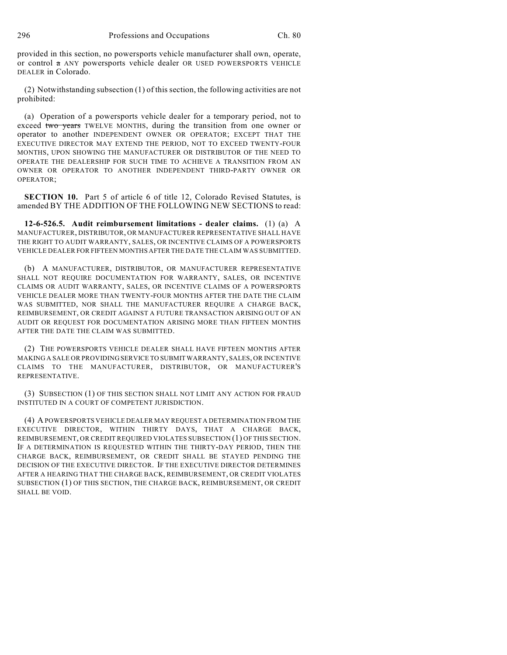provided in this section, no powersports vehicle manufacturer shall own, operate, or control  $\sigma$  ANY powersports vehicle dealer OR USED POWERSPORTS VEHICLE DEALER in Colorado.

(2) Notwithstanding subsection (1) of this section, the following activities are not prohibited:

(a) Operation of a powersports vehicle dealer for a temporary period, not to exceed two years TWELVE MONTHS, during the transition from one owner or operator to another INDEPENDENT OWNER OR OPERATOR; EXCEPT THAT THE EXECUTIVE DIRECTOR MAY EXTEND THE PERIOD, NOT TO EXCEED TWENTY-FOUR MONTHS, UPON SHOWING THE MANUFACTURER OR DISTRIBUTOR OF THE NEED TO OPERATE THE DEALERSHIP FOR SUCH TIME TO ACHIEVE A TRANSITION FROM AN OWNER OR OPERATOR TO ANOTHER INDEPENDENT THIRD-PARTY OWNER OR OPERATOR;

**SECTION 10.** Part 5 of article 6 of title 12. Colorado Revised Statutes, is amended BY THE ADDITION OF THE FOLLOWING NEW SECTIONS to read:

**12-6-526.5. Audit reimbursement limitations - dealer claims.** (1) (a) A MANUFACTURER, DISTRIBUTOR, OR MANUFACTURER REPRESENTATIVE SHALL HAVE THE RIGHT TO AUDIT WARRANTY, SALES, OR INCENTIVE CLAIMS OF A POWERSPORTS VEHICLE DEALER FOR FIFTEEN MONTHS AFTER THE DATE THE CLAIM WAS SUBMITTED.

(b) A MANUFACTURER, DISTRIBUTOR, OR MANUFACTURER REPRESENTATIVE SHALL NOT REQUIRE DOCUMENTATION FOR WARRANTY, SALES, OR INCENTIVE CLAIMS OR AUDIT WARRANTY, SALES, OR INCENTIVE CLAIMS OF A POWERSPORTS VEHICLE DEALER MORE THAN TWENTY-FOUR MONTHS AFTER THE DATE THE CLAIM WAS SUBMITTED, NOR SHALL THE MANUFACTURER REQUIRE A CHARGE BACK, REIMBURSEMENT, OR CREDIT AGAINST A FUTURE TRANSACTION ARISING OUT OF AN AUDIT OR REQUEST FOR DOCUMENTATION ARISING MORE THAN FIFTEEN MONTHS AFTER THE DATE THE CLAIM WAS SUBMITTED.

(2) THE POWERSPORTS VEHICLE DEALER SHALL HAVE FIFTEEN MONTHS AFTER MAKING A SALE OR PROVIDING SERVICE TO SUBMIT WARRANTY, SALES, OR INCENTIVE CLAIMS TO THE MANUFACTURER, DISTRIBUTOR, OR MANUFACTURER'S REPRESENTATIVE.

(3) SUBSECTION (1) OF THIS SECTION SHALL NOT LIMIT ANY ACTION FOR FRAUD INSTITUTED IN A COURT OF COMPETENT JURISDICTION.

(4) A POWERSPORTS VEHICLE DEALER MAY REQUEST A DETERMINATION FROM THE EXECUTIVE DIRECTOR, WITHIN THIRTY DAYS, THAT A CHARGE BACK, REIMBURSEMENT, OR CREDIT REQUIRED VIOLATES SUBSECTION (1) OFTHIS SECTION. IF A DETERMINATION IS REQUESTED WITHIN THE THIRTY-DAY PERIOD, THEN THE CHARGE BACK, REIMBURSEMENT, OR CREDIT SHALL BE STAYED PENDING THE DECISION OF THE EXECUTIVE DIRECTOR. IF THE EXECUTIVE DIRECTOR DETERMINES AFTER A HEARING THAT THE CHARGE BACK, REIMBURSEMENT, OR CREDIT VIOLATES SUBSECTION (1) OF THIS SECTION, THE CHARGE BACK, REIMBURSEMENT, OR CREDIT SHALL BE VOID.